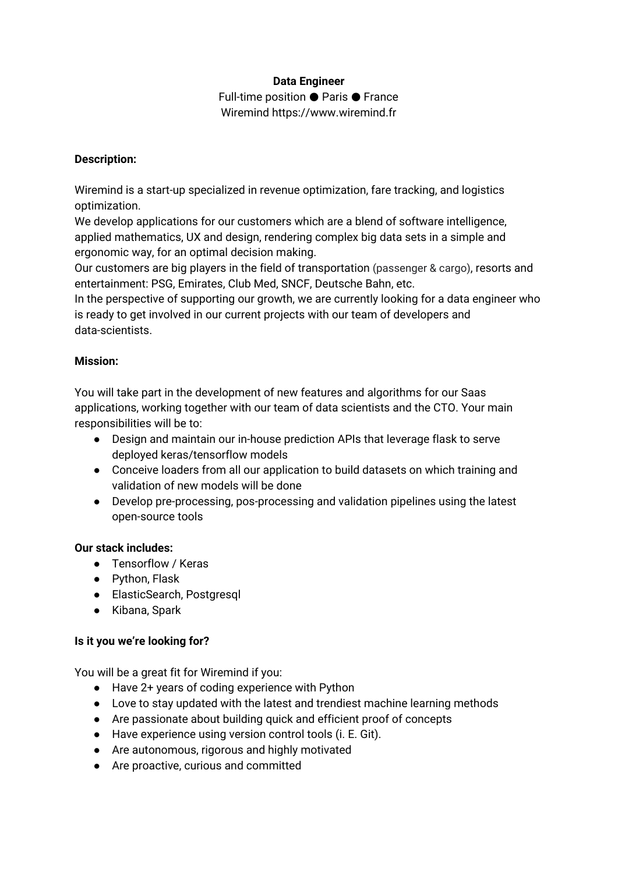# **Data Engineer** Full-time position ● Paris ● France

Wiremind https://www.wiremind.fr

#### **Description:**

Wiremind is a start-up specialized in revenue optimization, fare tracking, and logistics optimization.

We develop applications for our customers which are a blend of software intelligence, applied mathematics, UX and design, rendering complex big data sets in a simple and ergonomic way, for an optimal decision making.

Our customers are big players in the field of transportation (passenger & cargo), resorts and entertainment: PSG, Emirates, Club Med, SNCF, Deutsche Bahn, etc.

In the perspective of supporting our growth, we are currently looking for a data engineer who is ready to get involved in our current projects with our team of developers and data-scientists.

# **Mission:**

You will take part in the development of new features and algorithms for our Saas applications, working together with our team of data scientists and the CTO. Your main responsibilities will be to:

- Design and maintain our in-house prediction APIs that leverage flask to serve deployed keras/tensorflow models
- Conceive loaders from all our application to build datasets on which training and validation of new models will be done
- Develop pre-processing, pos-processing and validation pipelines using the latest open-source tools

#### **Our stack includes:**

- Tensorflow / Keras
- Python, Flask
- ElasticSearch, Postgresql
- Kibana, Spark

# **Is it you we're looking for?**

You will be a great fit for Wiremind if you:

- Have 2+ years of coding experience with Python
- Love to stay updated with the latest and trendiest machine learning methods
- Are passionate about building quick and efficient proof of concepts
- Have experience using version control tools (i. E. Git).
- Are autonomous, rigorous and highly motivated
- Are proactive, curious and committed